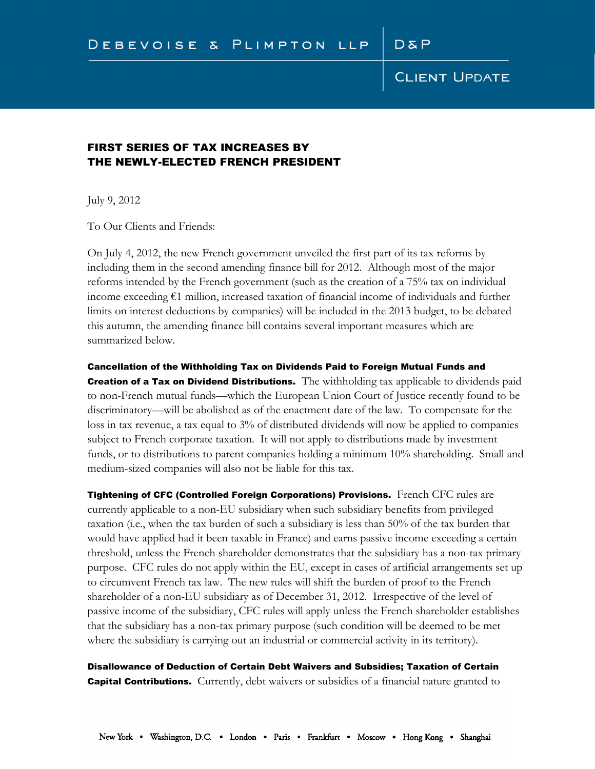## **CLIENT UPDATE**

### FIRST SERIES OF TAX INCREASES BY THE NEWLY-ELECTED FRENCH PRESIDENT

July 9, 2012

To Our Clients and Friends:

On July 4, 2012, the new French government unveiled the first part of its tax reforms by including them in the second amending finance bill for 2012. Although most of the major reforms intended by the French government (such as the creation of a 75% tax on individual income exceeding €1 million, increased taxation of financial income of individuals and further limits on interest deductions by companies) will be included in the 2013 budget, to be debated this autumn, the amending finance bill contains several important measures which are summarized below.

#### Cancellation of the Withholding Tax on Dividends Paid to Foreign Mutual Funds and

**Creation of a Tax on Dividend Distributions.** The withholding tax applicable to dividends paid to non-French mutual funds—which the European Union Court of Justice recently found to be discriminatory—will be abolished as of the enactment date of the law. To compensate for the loss in tax revenue, a tax equal to 3% of distributed dividends will now be applied to companies subject to French corporate taxation. It will not apply to distributions made by investment funds, or to distributions to parent companies holding a minimum 10% shareholding. Small and medium-sized companies will also not be liable for this tax.

Tightening of CFC (Controlled Foreign Corporations) Provisions. French CFC rules are currently applicable to a non-EU subsidiary when such subsidiary benefits from privileged taxation (i.e., when the tax burden of such a subsidiary is less than 50% of the tax burden that would have applied had it been taxable in France) and earns passive income exceeding a certain threshold, unless the French shareholder demonstrates that the subsidiary has a non-tax primary purpose. CFC rules do not apply within the EU, except in cases of artificial arrangements set up to circumvent French tax law. The new rules will shift the burden of proof to the French shareholder of a non-EU subsidiary as of December 31, 2012. Irrespective of the level of passive income of the subsidiary, CFC rules will apply unless the French shareholder establishes that the subsidiary has a non-tax primary purpose (such condition will be deemed to be met where the subsidiary is carrying out an industrial or commercial activity in its territory).

Disallowance of Deduction of Certain Debt Waivers and Subsidies; Taxation of Certain **Capital Contributions.** Currently, debt waivers or subsidies of a financial nature granted to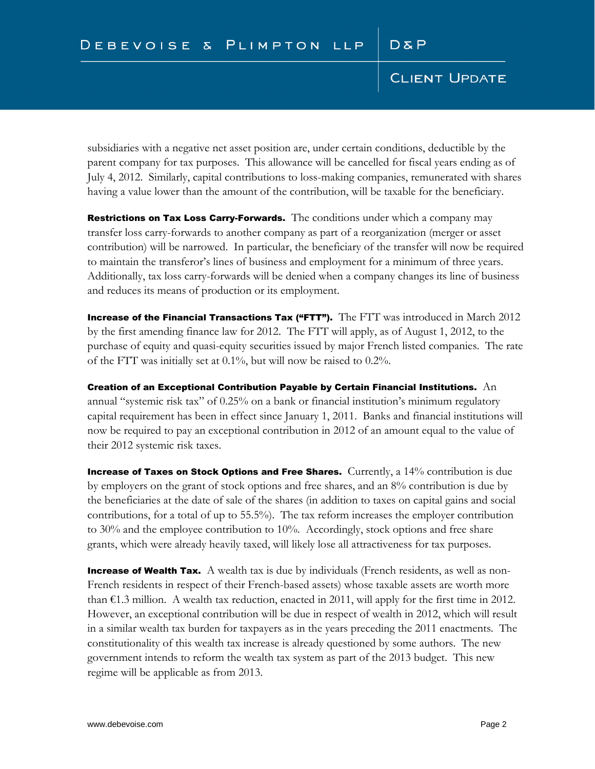## **CLIENT UPDATE**

subsidiaries with a negative net asset position are, under certain conditions, deductible by the parent company for tax purposes. This allowance will be cancelled for fiscal years ending as of July 4, 2012. Similarly, capital contributions to loss-making companies, remunerated with shares having a value lower than the amount of the contribution, will be taxable for the beneficiary.

Restrictions on Tax Loss Carry-Forwards. The conditions under which a company may transfer loss carry-forwards to another company as part of a reorganization (merger or asset contribution) will be narrowed. In particular, the beneficiary of the transfer will now be required to maintain the transferor's lines of business and employment for a minimum of three years. Additionally, tax loss carry-forwards will be denied when a company changes its line of business and reduces its means of production or its employment.

**Increase of the Financial Transactions Tax ("FTT").** The  $\text{FIT}$  was introduced in March 2012 by the first amending finance law for 2012. The FTT will apply, as of August 1, 2012, to the purchase of equity and quasi-equity securities issued by major French listed companies. The rate of the FTT was initially set at  $0.1\%$ , but will now be raised to  $0.2\%$ .

Creation of an Exceptional Contribution Payable by Certain Financial Institutions.  $\hspace{.1cm}\mathsf{An}\hspace{.1cm}$ annual "systemic risk tax" of 0.25% on a bank or financial institution's minimum regulatory capital requirement has been in effect since January 1, 2011. Banks and financial institutions will now be required to pay an exceptional contribution in 2012 of an amount equal to the value of their 2012 systemic risk taxes.

**Increase of Taxes on Stock Options and Free Shares.** Currently, a 14% contribution is due by employers on the grant of stock options and free shares, and an 8% contribution is due by the beneficiaries at the date of sale of the shares (in addition to taxes on capital gains and social contributions, for a total of up to 55.5%). The tax reform increases the employer contribution to 30% and the employee contribution to 10%. Accordingly, stock options and free share grants, which were already heavily taxed, will likely lose all attractiveness for tax purposes.

**Increase of Wealth Tax.** A wealth tax is due by individuals (French residents, as well as non-French residents in respect of their French-based assets) whose taxable assets are worth more than  $\epsilon$ 1.3 million. A wealth tax reduction, enacted in 2011, will apply for the first time in 2012. However, an exceptional contribution will be due in respect of wealth in 2012, which will result in a similar wealth tax burden for taxpayers as in the years preceding the 2011 enactments. The constitutionality of this wealth tax increase is already questioned by some authors. The new government intends to reform the wealth tax system as part of the 2013 budget. This new regime will be applicable as from 2013.